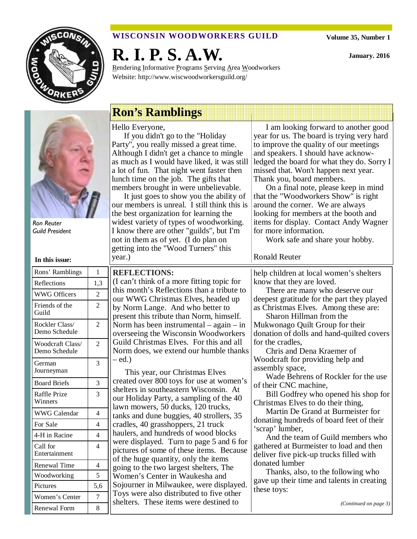

## **WISCONSIN WOODWORKERS GUILD**

**Volume 35, Number 1** 

**January. 2016** 

**R. I. P. S. A.W.** 

Rendering Informative Programs Serving Area Woodworkers Website: http://www.wiscwoodworkersguild.org/

Ron Reuter Guild President

| In this issue:                    |                |  |
|-----------------------------------|----------------|--|
| Rons' Ramblings                   | 1              |  |
| Reflections                       | 1,3            |  |
| <b>WWG Officers</b>               | $\overline{c}$ |  |
| Friends of the<br>Guild           | $\overline{2}$ |  |
| Rockler Class/<br>Demo Schedule   | 2              |  |
| Woodcraft Class/<br>Demo Schedule | $\mathfrak{D}$ |  |
| German<br>Journeyman              | 3              |  |
| <b>Board Briefs</b>               | 3              |  |
| <b>Raffle Prize</b><br>Winners    | 3              |  |
| <b>WWG Calendar</b>               | $\overline{4}$ |  |
| For Sale                          | $\overline{4}$ |  |
| 4-H in Racine                     | $\overline{4}$ |  |
| Call for<br>Entertainment         | $\overline{4}$ |  |
| <b>Renewal Time</b>               | $\overline{4}$ |  |
| Woodworking                       | 5              |  |
| Pictures                          | 5,6            |  |
| Women's Center                    | 7              |  |
| <b>Renewal Form</b>               | 8              |  |

# **Ron's Ramblings**

Hello Everyone,

**REFLECTIONS:** 

– ed.)

If you didn't go to the "Holiday Party", you really missed a great time. Although I didn't get a chance to mingle as much as I would have liked, it was still a lot of fun. That night went faster then lunch time on the job. The gifts that members brought in were unbelievable.

It just goes to show you the ability of our members is unreal. I still think this is the best organization for learning the widest variety of types of woodworking. I know there are other "guilds", but I'm not in them as of yet. (I do plan on getting into the "Wood Turners" this year.)

(I can't think of a more fitting topic for this month's Reflections than a tribute to our WWG Christmas Elves, headed up by Norm Lange. And who better to present this tribute than Norm, himself. Norm has been instrumental – again – in overseeing the Wisconsin Woodworkers Guild Christmas Elves. For this and all Norm does, we extend our humble thanks

This year, our Christmas Elves created over 800 toys for use at women's shelters in southeastern Wisconsin. At our Holiday Party, a sampling of the 40 lawn mowers, 50 ducks, 120 trucks, tanks and dune buggies, 40 strollers, 35 cradles, 40 grasshoppers, 21 truck haulers, and hundreds of wood blocks were displayed. Turn to page 5 and 6 for pictures of some of these items. Because of the huge quantity, only the items going to the two largest shelters, The Women's Center in Waukesha and

Sojourner in Milwaukee, were displayed. Toys were also distributed to five other shelters. These items were destined to

ledged the board for what they do. Sorry I missed that. Won't happen next year. Thank you, board members. On a final note, please keep in mind that the "Woodworkers Show" is right around the corner. We are always looking for members at the booth and

I am looking forward to another good year for us. The board is trying very hard to improve the quality of our meetings and speakers. I should have acknow-

items for display. Contact Andy Wagner for more information. Work safe and share your hobby.

**Ronald Reuter** 

help children at local women's shelters know that they are loved.

There are many who deserve our deepest gratitude for the part they played as Christmas Elves. Among these are:

Sharon Hillman from the Mukwonago Quilt Group for their donation of dolls and hand-quilted covers for the cradles,

Chris and Dena Kraemer of Woodcraft for providing help and assembly space,

Wade Behrens of Rockler for the use of their CNC machine,

Bill Godfrey who opened his shop for Christmas Elves to do their thing,

Martin De Grand at Burmeister for donating hundreds of board feet of their 'scrap' lumber,

And the team of Guild members who gathered at Burmeister to load and then deliver five pick-up trucks filled with donated lumber

Thanks, also, to the following who gave up their time and talents in creating these toys:

*(Continued on page 3)*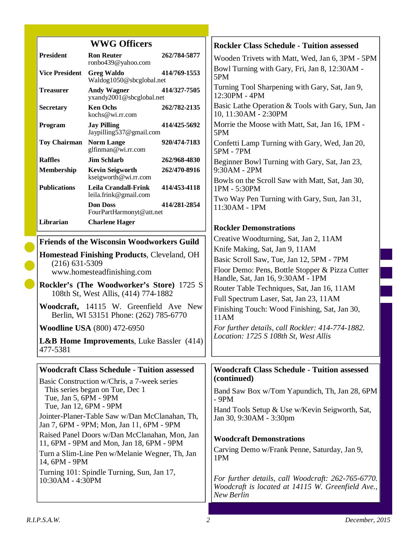|                                                                                           | <b>WWG Officers</b>                                                              |              | <b>Rockler Class Schedule - Tuition assessed</b>                                                                      |
|-------------------------------------------------------------------------------------------|----------------------------------------------------------------------------------|--------------|-----------------------------------------------------------------------------------------------------------------------|
| <b>President</b>                                                                          | <b>Ron Reuter</b><br>ronbo439@yahoo.com                                          | 262/784-5877 | Wooden Trivets with Matt, Wed, Jan 6, 3PM - 5PM                                                                       |
| <b>Vice President</b>                                                                     | <b>Greg Waldo</b><br>Waldog1050@sbcglobal.net                                    | 414/769-1553 | Bowl Turning with Gary, Fri, Jan 8, 12:30AM -<br>5PM                                                                  |
| <b>Treasurer</b>                                                                          | <b>Andy Wagner</b><br>yxandy2001@sbcglobal.net                                   | 414/327-7505 | Turning Tool Sharpening with Gary, Sat, Jan 9,<br>12:30PM - 4PM                                                       |
| Secretary                                                                                 | <b>Ken Ochs</b><br>kochs@wi.rr.com                                               | 262/782-2135 | Basic Lathe Operation & Tools with Gary, Sun, Jan<br>10, 11:30AM - 2:30PM                                             |
| Program                                                                                   | <b>Jay Pilling</b><br>Jaypilling537@gmail.com                                    | 414/425-5692 | Morrie the Moose with Matt, Sat, Jan 16, 1PM -<br>5PM                                                                 |
| <b>Toy Chairman</b>                                                                       | <b>Norm Lange</b><br>glfinman@wi.rr.com                                          | 920/474-7183 | Confetti Lamp Turning with Gary, Wed, Jan 20,<br>5PM - 7PM                                                            |
| <b>Raffles</b>                                                                            | <b>Jim Schlarb</b>                                                               | 262/968-4830 | Beginner Bowl Turning with Gary, Sat, Jan 23,                                                                         |
| Membership                                                                                | <b>Kevin Seigworth</b><br>kseigworth@wi.rr.com                                   | 262/470-8916 | 9:30AM - 2PM<br>Bowls on the Scroll Saw with Matt, Sat, Jan 30,                                                       |
| <b>Publications</b>                                                                       | <b>Leila Crandall-Frink</b><br>leila.frink@gmail.com                             | 414/453-4118 | 1PM - 5:30PM                                                                                                          |
|                                                                                           | <b>Don Doss</b><br>FourPartHarmonyt@att.net                                      | 414/281-2854 | Two Way Pen Turning with Gary, Sun, Jan 31,<br>11:30AM - 1PM                                                          |
| Librarian                                                                                 | <b>Charlene Hager</b>                                                            |              | <b>Rockler Demonstrations</b>                                                                                         |
|                                                                                           | <b>Friends of the Wisconsin Woodworkers Guild</b>                                |              | Creative Woodturning, Sat, Jan 2, 11AM                                                                                |
|                                                                                           |                                                                                  |              | Knife Making, Sat, Jan 9, 11AM                                                                                        |
| <b>Homestead Finishing Products, Cleveland, OH</b>                                        |                                                                                  |              | Basic Scroll Saw, Tue, Jan 12, 5PM - 7PM                                                                              |
| $(216)$ 631-5309<br>www.homesteadfinishing.com                                            |                                                                                  |              | Floor Demo: Pens, Bottle Stopper & Pizza Cutter<br>Handle, Sat, Jan 16, 9:30AM - 1PM                                  |
| <b>Rockler's (The Woodworker's Store) 1725 S</b><br>108th St, West Allis, (414) 774-1882  |                                                                                  |              | Router Table Techniques, Sat, Jan 16, 11AM                                                                            |
|                                                                                           | Woodcraft, 14115 W. Greenfield Ave New<br>Berlin, WI 53151 Phone: (262) 785-6770 |              | Full Spectrum Laser, Sat, Jan 23, 11AM<br>Finishing Touch: Wood Finishing, Sat, Jan 30,<br>11AM                       |
| <b>Woodline USA</b> (800) 472-6950                                                        |                                                                                  |              | For further details, call Rockler: 414-774-1882.                                                                      |
| <b>L&amp;B Home Improvements, Luke Bassler (414)</b><br>477-5381                          |                                                                                  |              | Location: 1725 S 108th St, West Allis                                                                                 |
|                                                                                           | <b>Woodcraft Class Schedule - Tuition assessed</b>                               |              | <b>Woodcraft Class Schedule - Tuition assessed</b>                                                                    |
|                                                                                           | Basic Construction w/Chris, a 7-week series                                      |              | (continued)                                                                                                           |
| Tue, Jan 5, 6PM - 9PM                                                                     | This series began on Tue, Dec 1                                                  |              | Band Saw Box w/Tom Yapundich, Th, Jan 28, 6PM<br>- 9PM                                                                |
| Tue, Jan 12, 6PM - 9PM<br>Jointer-Planer-Table Saw w/Dan McClanahan, Th,                  |                                                                                  |              | Hand Tools Setup & Use w/Kevin Seigworth, Sat,<br>Jan 30, 9:30AM - 3:30pm                                             |
| Jan 7, 6PM - 9PM; Mon, Jan 11, 6PM - 9PM                                                  |                                                                                  |              |                                                                                                                       |
| Raised Panel Doors w/Dan McClanahan, Mon, Jan<br>11, 6PM - 9PM and Mon, Jan 18, 6PM - 9PM |                                                                                  |              | <b>Woodcraft Demonstrations</b>                                                                                       |
| Turn a Slim-Line Pen w/Melanie Wegner, Th, Jan<br>14, 6PM - 9PM                           |                                                                                  |              | Carving Demo w/Frank Penne, Saturday, Jan 9,<br>1PM                                                                   |
| Turning 101: Spindle Turning, Sun, Jan 17,<br>10:30AM - 4:30PM                            |                                                                                  |              | For further details, call Woodcraft: 262-765-6770.<br>Woodcraft is located at 14115 W. Greenfield Ave.,<br>New Berlin |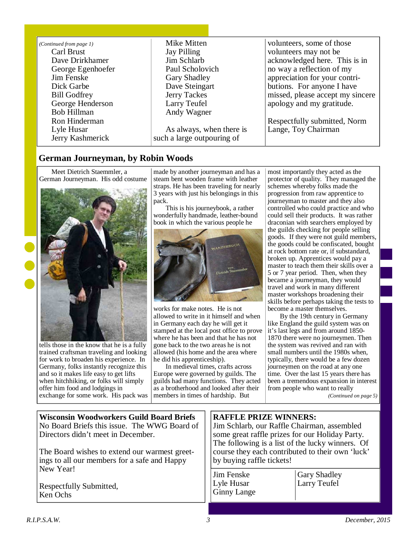| (Continued from page 1) | Mike Mitten                | volunteers, some of those        |
|-------------------------|----------------------------|----------------------------------|
| Carl Brust              | Jay Pilling                | volunteers may not be            |
| Dave Drirkhamer         | Jim Schlarb                | acknowledged here. This is in    |
| George Egenhoefer       | Paul Scholovich            | no way a reflection of my        |
| Jim Fenske              | Gary Shadley               | appreciation for your contri-    |
| Dick Garbe              | Dave Steingart             | butions. For anyone I have       |
| <b>Bill Godfrey</b>     | Jerry Tackes               | missed, please accept my sincere |
| George Henderson        | Larry Teufel               | apology and my gratitude.        |
| Bob Hillman             | Andy Wagner                |                                  |
| Ron Hinderman           |                            | Respectfully submitted, Norm     |
| Lyle Husar              | As always, when there is   | Lange, Toy Chairman              |
| Jerry Kashmerick        | such a large outpouring of |                                  |
|                         |                            |                                  |

## **German Journeyman, by Robin Woods**

Meet Dietrich Staemmler, a German Journeyman. His odd costume



tells those in the know that he is a fully trained craftsman traveling and looking for work to broaden his experience. In Germany, folks instantly recognize this and so it makes life easy to get lifts when hitchhiking, or folks will simply offer him food and lodgings in exchange for some work. His pack was made by another journeyman and has a steam bent wooden frame with leather straps. He has been traveling for nearly 3 years with just his belongings in this pack.

This is his journeybook, a rather wonderfully handmade, leather-bound book in which the various people he



works for make notes. He is not allowed to write in it himself and when in Germany each day he will get it stamped at the local post office to prove where he has been and that he has not gone back to the two areas he is not allowed (his home and the area where he did his apprenticeship).

In medieval times, crafts across Europe were governed by guilds. The guilds had many functions. They acted as a brotherhood and looked after their members in times of hardship. But

most importantly they acted as the protector of quality. They managed the schemes whereby folks made the progression from raw apprentice to journeyman to master and they also controlled who could practice and who could sell their products. It was rather draconian with searchers employed by the guilds checking for people selling goods. If they were not guild members, the goods could be confiscated, bought at rock bottom rate or, if substandard, broken up. Apprentices would pay a master to teach them their skills over a 5 or 7 year period. Then, when they became a journeyman, they would travel and work in many different master workshops broadening their skills before perhaps taking the tests to become a master themselves.

By the 19th century in Germany like England the guild system was on it's last legs and from around 1850- 1870 there were no journeymen. Then the system was revived and ran with small numbers until the 1980s when, typically, there would be a few dozen journeymen on the road at any one time. Over the last 15 years there has been a tremendous expansion in interest from people who want to really

*(Continued on page 5)* 

| <b>Wisconsin Woodworkers Guild Board Briefs</b><br>No Board Briefs this issue. The WWG Board of<br>Directors didn't meet in December.             | <b>RAFFLE PRIZE WINNERS:</b><br>Jim Schlarb, our Raffle Chairman, assembled<br>some great raffle prizes for our Holiday Party.<br>The following is a list of the lucky winners. Of<br>course they each contributed to their own 'luck'<br>by buying raffle tickets! |                                     |
|---------------------------------------------------------------------------------------------------------------------------------------------------|---------------------------------------------------------------------------------------------------------------------------------------------------------------------------------------------------------------------------------------------------------------------|-------------------------------------|
| The Board wishes to extend our warmest greet-<br>ings to all our members for a safe and Happy<br>New Year!<br>Respectfully Submitted,<br>Ken Ochs |                                                                                                                                                                                                                                                                     |                                     |
|                                                                                                                                                   | <b>Jim Fenske</b><br>Lyle Husar<br><b>Ginny Lange</b>                                                                                                                                                                                                               | <b>Gary Shadley</b><br>Larry Teufel |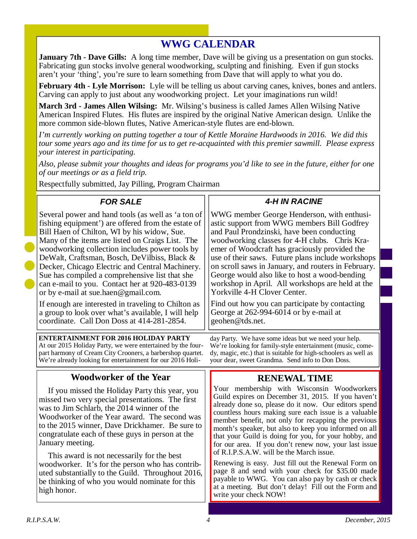## **WWG CALENDAR**

**January 7th - Dave Gills:** A long time member, Dave will be giving us a presentation on gun stocks. Fabricating gun stocks involve general woodworking, sculpting and finishing. Even if gun stocks aren't your 'thing', you're sure to learn something from Dave that will apply to what you do.

**February 4th - Lyle Morrison:** Lyle will be telling us about carving canes, knives, bones and antlers. Carving can apply to just about any woodworking project. Let your imaginations run wild!

**March 3rd - James Allen Wilsing:** Mr. Wilsing's business is called James Allen Wilsing Native American Inspired Flutes. His flutes are inspired by the original Native American design. Unlike the more common side-blown flutes, Native American-style flutes are end-blown.

*I'm currently working on putting together a tour of Kettle Moraine Hardwoods in 2016. We did this tour some years ago and its time for us to get re-acquainted with this premier sawmill. Please express your interest in participating.* 

*Also, please submit your thoughts and ideas for programs you'd like to see in the future, either for one of our meetings or as a field trip.* 

Respectfully submitted, Jay Pilling, Program Chairman

#### **Woodworker of the Year**  If you missed the Holiday Party this year, you missed two very special presentations. The first was to Jim Schlarb, the 2014 winner of the Woodworker of the Year award. The second was to the 2015 winner, Dave Drickhamer. Be sure to congratulate each of these guys in person at the January meeting. This award is not necessarily for the best woodworker. It's for the person who has contributed substantially to the Guild. Throughout 2016, be thinking of who you would nominate for this high honor. **FOR SALE**  Several power and hand tools (as well as 'a ton of fishing equipment') are offered from the estate of Bill Haen of Chilton, WI by his widow, Sue. Many of the items are listed on Craigs List. The woodworking collection includes power tools by DeWalt, Craftsman, Bosch, DeVilbiss, Black & Decker, Chicago Electric and Central Machinery. Sue has compiled a comprehensive list that she can e-mail to you. Contact her at 920-483-0139 or by e-mail at sue.haen@gmail.com. If enough are interested in traveling to Chilton as a group to look over what's available, I will help coordinate. Call Don Doss at 414-281-2854. **4-H IN RACINE**  WWG member George Henderson, with enthusiastic support from WWG members Bill Godfrey and Paul Prondzinski, have been conducting woodworking classes for 4-H clubs. Chris Kraemer of Woodcraft has graciously provided the use of their saws. Future plans include workshops on scroll saws in January, and routers in February. George would also like to host a wood-bending workshop in April. All workshops are held at the Yorkville 4-H Clover Center. Find out how you can participate by contacting George at 262-994-6014 or by e-mail at geohen@tds.net. **RENEWAL TIME**  Your membership with Wisconsin Woodworkers Guild expires on December 31, 2015. If you haven't already done so, please do it now. Our editors spend countless hours making sure each issue is a valuable member benefit, not only for recapping the previous month's speaker, but also to keep you informed on all that your Guild is doing for you, for your hobby, and for our area. If you don't renew now, your last issue of R.I.P.S.A.W. will be the March issue. Renewing is easy. Just fill out the Renewal Form on page 8 and send with your check for \$35.00 made payable to WWG. You can also pay by cash or check at a meeting. But don't delay! Fill out the Form and write your check NOW! **ENTERTAINMENT FOR 2016 HOLIDAY PARTY**  At our 2015 Holiday Party, we were entertained by the fourpart harmony of Cream City Crooners, a barbershop quartet. We're already looking for entertainment for our 2016 Holiday Party. We have some ideas but we need your help. We're looking for family-style entertainment (music, comedy, magic, etc.) that is suitable for high-schoolers as well as your dear, sweet Grandma. Send info to Don Doss.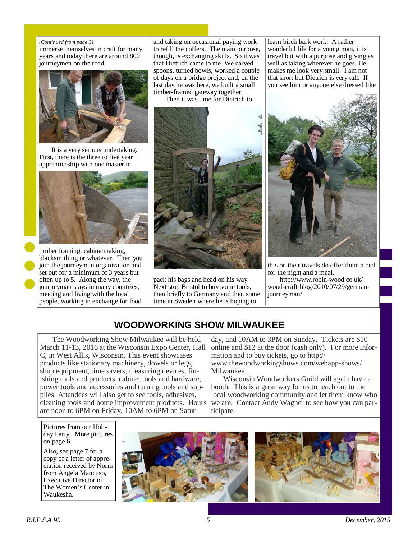#### *(Continued from page 3)*

immerse themselves in craft for many years and today there are around 800 journeymen on the road.



It is a very serious undertaking. First, there is the three to five year apprenticeship with one master in



timber framing, cabinetmaking, blacksmithing or whatever. Then you join the journeyman organization and set out for a minimum of 3 years but often up to 5. Along the way, the journeyman stays in many countries, meeting and living with the local people, working in exchange for food

and taking on occasional paying work to refill the coffers. The main purpose, though, is exchanging skills. So it was that Dietrich came to me. We carved spoons, turned bowls, worked a couple of days on a bridge project and, on the last day he was here, we built a small timber-framed gateway together.

Then it was time for Dietrich to



pack his bags and head on his way. Next stop Bristol to buy some tools, then briefly to Germany and then some time in Sweden where he is hoping to

learn birch bark work. A rather wonderful life for a young man, it is travel but with a purpose and giving as well as taking wherever he goes. He makes me look very small. I am not that short but Dietrich is very tall. If you see him or anyone else dressed like



this on their travels do offer them a bed for the night and a meal.

http://www.robin-wood.co.uk/ wood-craft-blog/2010/07/29/germanjourneyman/

## **WOODWORKING SHOW MILWAUKEE**

The Woodworking Show Milwaukee will be held March 11-13, 2016 at the Wisconsin Expo Center, Hall C, in West Allis, Wisconsin. This event showcases products like stationary machinery, dowels or legs, shop equipment, time savers, measuring devices, finishing tools and products, cabinet tools and hardware, power tools and accessories and turning tools and supplies. Attendees will also get to see tools, adhesives, cleaning tools and home improvement products. Hours are noon to 6PM on Friday, 10AM to 6PM on Satur-

day, and 10AM to 3PM on Sunday. Tickets are \$10 online and \$12 at the door (cash only). For more information and to buy tickets, go to http:// www.thewoodworkingshows.com/webapp-shows/ Milwaukee

Wisconsin Woodworkers Guild will again have a booth. This is a great way for us to reach out to the local woodworking community and let them know who we are. Contact Andy Wagner to see how you can participate.

Pictures from our Holiday Party. More pictures on page 6.

Also, see page 7 for a copy of a letter of appreciation received by Norm from Angela Mancuso, Executive Director of The Women's Center in Waukesha.



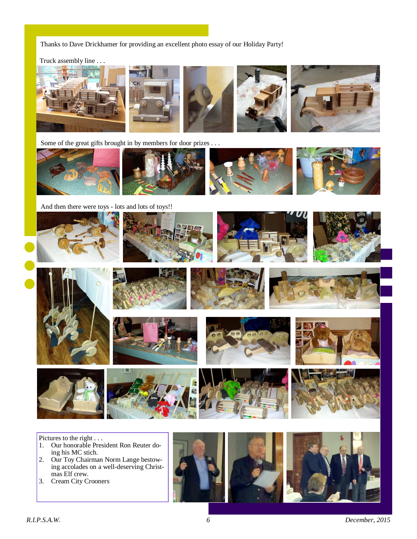Thanks to Dave Drickhamer for providing an excellent photo essay of our Holiday Party!

Truck assembly line . . .



Some of the great gifts brought in by members for door prizes . . .



And then there were toys - lots and lots of toys!!



Pictures to the right . . .

- 1. Our honorable President Ron Reuter doing his MC stich.
- 2. Our Toy Chairman Norm Lange bestowing accolades on a well-deserving Christmas Elf crew.
- 3. Cream City Crooners

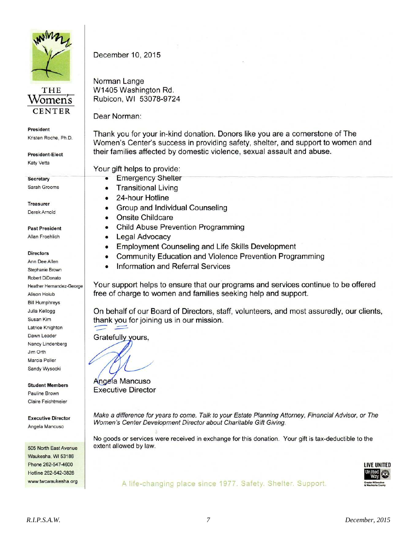



President

Kristen Roche, Ph.D.

**President-Elect** Katy Vetta

Secretary Sarah Grooms

**Treasurer** Derek Arnold

**Past President** Allan Froehlich

**Directors** 

Ann Dee Allen Stephanie Brown Robert DiDonato Heather Hernandez-George Alison Holub **Bill Humphreys** Julia Kellogg Susan Kim Latrice Knighton Dawn Leader Nancy Lindenberg Jim Orth Marcia Peller Sandy Wysocki

**Student Members** Pauline Brown Claire Feichtmeier

**Executive Director** Angela Mancuso

505 North East Avenue Waukesha, WI 53186 Phone 262-547-4600 Hotline 262-542-3828 www.twcwaukesha.org December 10, 2015

Norman Lange W1405 Washington Rd. Rubicon, WI 53078-9724

Dear Norman:

Thank you for your in-kind donation. Donors like you are a cornerstone of The Women's Center's success in providing safety, shelter, and support to women and their families affected by domestic violence, sexual assault and abuse.

Your gift helps to provide:

- **Emergency Shelter**  $\bullet$
- **Transitional Living**  $\bullet$
- 24-hour Hotline  $\bullet$
- Group and Individual Counseling
- **Onsite Childcare**
- Child Abuse Prevention Programming
- Legal Advocacy
- Employment Counseling and Life Skills Development
- **Community Education and Violence Prevention Programming**  $\bullet$
- Information and Referral Services

Your support helps to ensure that our programs and services continue to be offered free of charge to women and families seeking help and support.

On behalf of our Board of Directors, staff, volunteers, and most assuredly, our clients, thank you for joining us in our mission.

Gratefully yours,

Angela Mancuso

**Executive Director** 

Make a difference for years to come. Talk to your Estate Planning Attorney, Financial Advisor, or The Women's Center Development Director about Charitable Gift Giving.

No goods or services were received in exchange for this donation. Your gift is tax-deductible to the extent allowed by law.



A life-changing place since 1977. Safety. Shelter. Support.